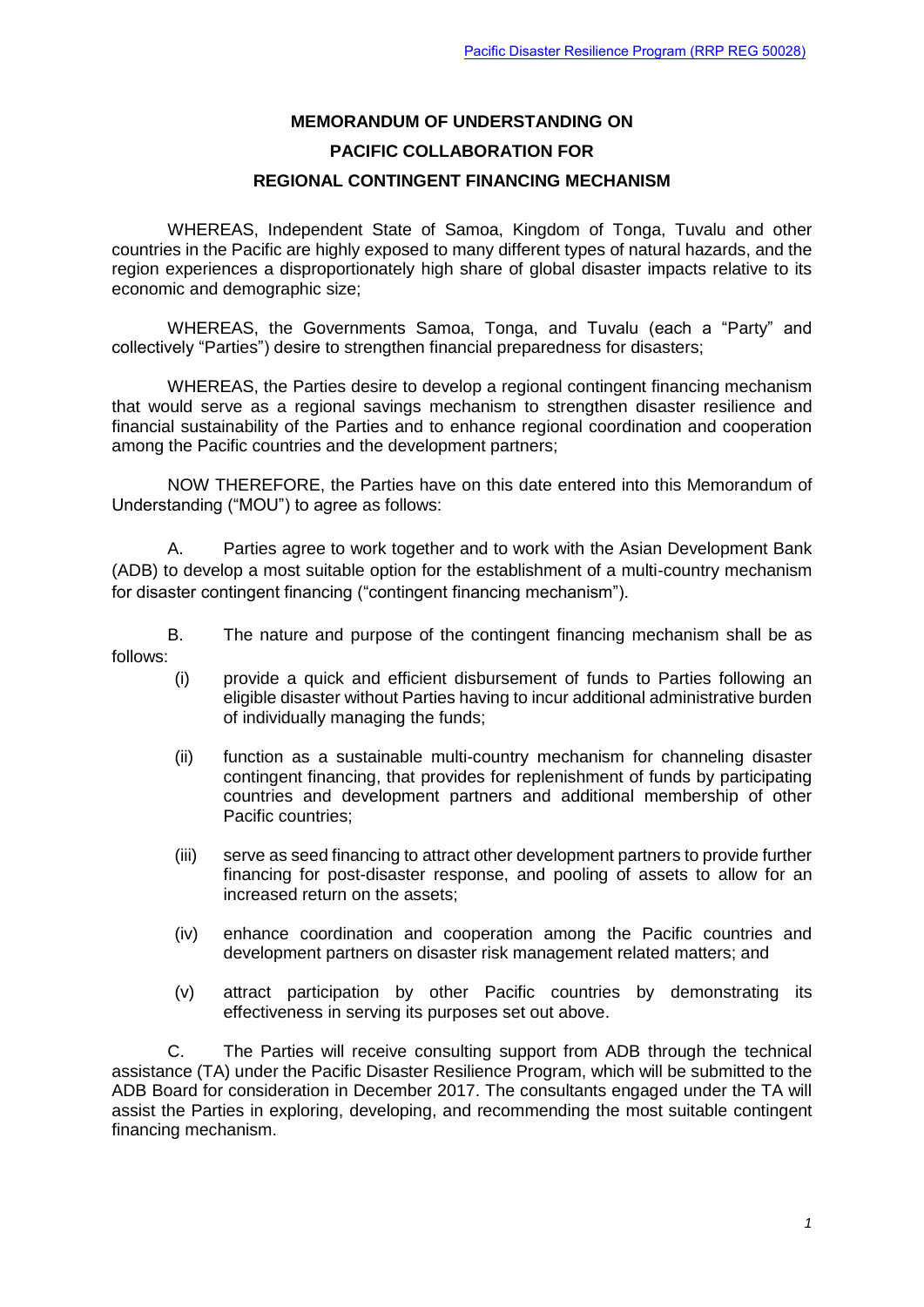## **[MEMORANDUM OF UNDERSTANDING ON](http://www.adb.org/Documents/RRPs/?id=50028-001-3) [PACIFIC COLLABORATION FOR](http://www.adb.org/Documents/RRPs/?id=50028-001-3) [REGIONAL CONTINGENT FINANCING](http://www.adb.org/Documents/RRPs/?id=50028-001-3) MECHANISM**

WHEREAS, Independent State of Samoa, Kingdom of Tonga, Tuvalu and other countries in the Pacific are highly exposed to many different types of natural hazards, and the region experiences a disproportionately high share of global disaster impacts relative to its economic and demographic size;

WHEREAS, the Governments Samoa, Tonga, and Tuvalu (each a "Party" and collectively "Parties") desire to strengthen financial preparedness for disasters;

WHEREAS, the Parties desire to develop a regional contingent financing mechanism that would serve as a regional savings mechanism to strengthen disaster resilience and financial sustainability of the Parties and to enhance regional coordination and cooperation among the Pacific countries and the development partners;

NOW THEREFORE, the Parties have on this date entered into this Memorandum of Understanding ("MOU") to agree as follows:

A. Parties agree to work together and to work with the Asian Development Bank (ADB) to develop a most suitable option for the establishment of a multi-country mechanism for disaster contingent financing ("contingent financing mechanism").

B. The nature and purpose of the contingent financing mechanism shall be as follows:

- (i) provide a quick and efficient disbursement of funds to Parties following an eligible disaster without Parties having to incur additional administrative burden of individually managing the funds;
- (ii) function as a sustainable multi-country mechanism for channeling disaster contingent financing, that provides for replenishment of funds by participating countries and development partners and additional membership of other Pacific countries:
- (iii) serve as seed financing to attract other development partners to provide further financing for post-disaster response, and pooling of assets to allow for an increased return on the assets;
- (iv) enhance coordination and cooperation among the Pacific countries and development partners on disaster risk management related matters; and
- (v) attract participation by other Pacific countries by demonstrating its effectiveness in serving its purposes set out above.

C. The Parties will receive consulting support from ADB through the technical assistance (TA) under the Pacific Disaster Resilience Program, which will be submitted to the ADB Board for consideration in December 2017. The consultants engaged under the TA will assist the Parties in exploring, developing, and recommending the most suitable contingent financing mechanism.